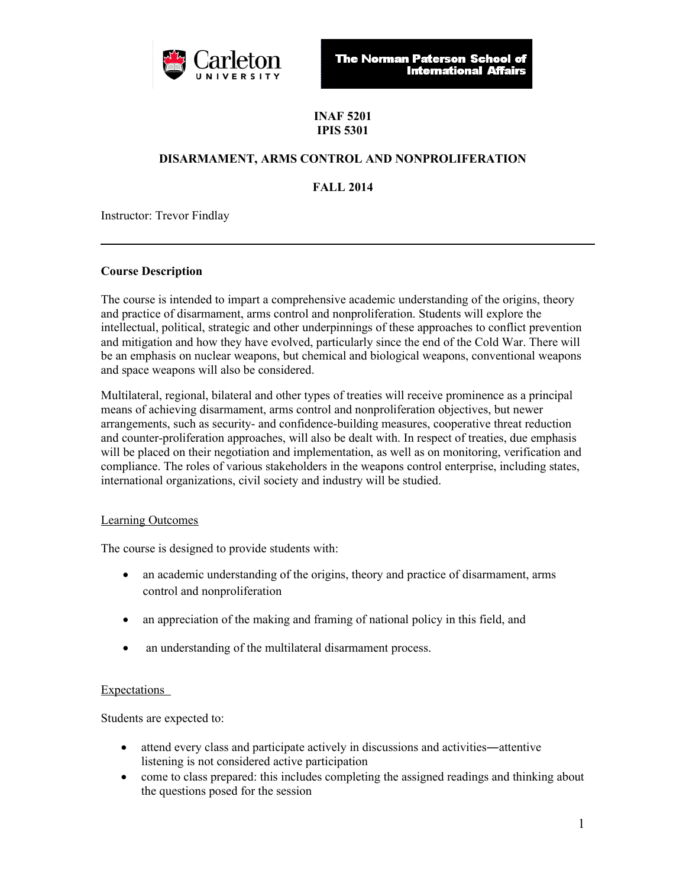

**The Norman Paterson School of International Affairs** 

# **INAF 5201 IPIS 5301**

# **DISARMAMENT, ARMS CONTROL AND NONPROLIFERATION**

**FALL 2014**

Instructor: Trevor Findlay

## **Course Description**

The course is intended to impart a comprehensive academic understanding of the origins, theory and practice of disarmament, arms control and nonproliferation. Students will explore the intellectual, political, strategic and other underpinnings of these approaches to conflict prevention and mitigation and how they have evolved, particularly since the end of the Cold War. There will be an emphasis on nuclear weapons, but chemical and biological weapons, conventional weapons and space weapons will also be considered.

Multilateral, regional, bilateral and other types of treaties will receive prominence as a principal means of achieving disarmament, arms control and nonproliferation objectives, but newer arrangements, such as security- and confidence-building measures, cooperative threat reduction and counter-proliferation approaches, will also be dealt with. In respect of treaties, due emphasis will be placed on their negotiation and implementation, as well as on monitoring, verification and compliance. The roles of various stakeholders in the weapons control enterprise, including states, international organizations, civil society and industry will be studied.

# Learning Outcomes

The course is designed to provide students with:

- an academic understanding of the origins, theory and practice of disarmament, arms control and nonproliferation
- an appreciation of the making and framing of national policy in this field, and
- an understanding of the multilateral disarmament process.

### Expectations

Students are expected to:

- attend every class and participate actively in discussions and activities―attentive listening is not considered active participation
- come to class prepared: this includes completing the assigned readings and thinking about the questions posed for the session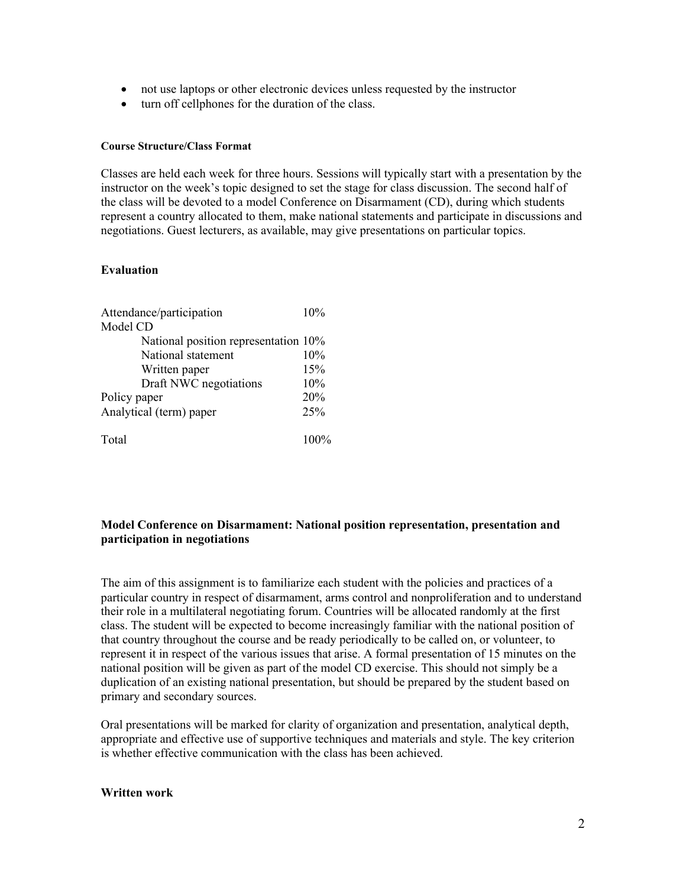- not use laptops or other electronic devices unless requested by the instructor
- turn off cellphones for the duration of the class.

#### **Course Structure/Class Format**

Classes are held each week for three hours. Sessions will typically start with a presentation by the instructor on the week's topic designed to set the stage for class discussion. The second half of the class will be devoted to a model Conference on Disarmament (CD), during which students represent a country allocated to them, make national statements and participate in discussions and negotiations. Guest lecturers, as available, may give presentations on particular topics.

### **Evaluation**

| Attendance/participation             | 10% |
|--------------------------------------|-----|
| Model CD                             |     |
| National position representation 10% |     |
| National statement                   | 10% |
| Written paper                        | 15% |
| Draft NWC negotiations               | 10% |
| Policy paper                         | 20% |
| Analytical (term) paper              | 25% |
| Total                                |     |

## **Model Conference on Disarmament: National position representation, presentation and participation in negotiations**

The aim of this assignment is to familiarize each student with the policies and practices of a particular country in respect of disarmament, arms control and nonproliferation and to understand their role in a multilateral negotiating forum. Countries will be allocated randomly at the first class. The student will be expected to become increasingly familiar with the national position of that country throughout the course and be ready periodically to be called on, or volunteer, to represent it in respect of the various issues that arise. A formal presentation of 15 minutes on the national position will be given as part of the model CD exercise. This should not simply be a duplication of an existing national presentation, but should be prepared by the student based on primary and secondary sources.

Oral presentations will be marked for clarity of organization and presentation, analytical depth, appropriate and effective use of supportive techniques and materials and style. The key criterion is whether effective communication with the class has been achieved.

#### **Written work**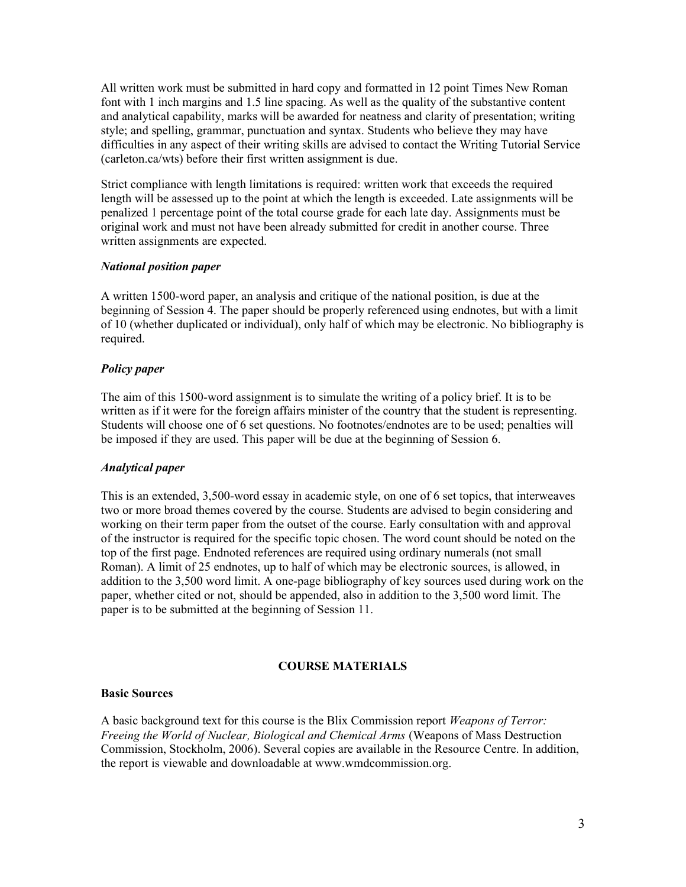All written work must be submitted in hard copy and formatted in 12 point Times New Roman font with 1 inch margins and 1.5 line spacing. As well as the quality of the substantive content and analytical capability, marks will be awarded for neatness and clarity of presentation; writing style; and spelling, grammar, punctuation and syntax. Students who believe they may have difficulties in any aspect of their writing skills are advised to contact the Writing Tutorial Service (carleton.ca/wts) before their first written assignment is due.

Strict compliance with length limitations is required: written work that exceeds the required length will be assessed up to the point at which the length is exceeded. Late assignments will be penalized 1 percentage point of the total course grade for each late day. Assignments must be original work and must not have been already submitted for credit in another course. Three written assignments are expected.

## *National position paper*

A written 1500-word paper, an analysis and critique of the national position, is due at the beginning of Session 4. The paper should be properly referenced using endnotes, but with a limit of 10 (whether duplicated or individual), only half of which may be electronic. No bibliography is required.

# *Policy paper*

The aim of this 1500-word assignment is to simulate the writing of a policy brief. It is to be written as if it were for the foreign affairs minister of the country that the student is representing. Students will choose one of 6 set questions. No footnotes/endnotes are to be used; penalties will be imposed if they are used. This paper will be due at the beginning of Session 6.

# *Analytical paper*

This is an extended, 3,500-word essay in academic style, on one of 6 set topics, that interweaves two or more broad themes covered by the course. Students are advised to begin considering and working on their term paper from the outset of the course. Early consultation with and approval of the instructor is required for the specific topic chosen. The word count should be noted on the top of the first page. Endnoted references are required using ordinary numerals (not small Roman). A limit of 25 endnotes, up to half of which may be electronic sources, is allowed, in addition to the 3,500 word limit. A one-page bibliography of key sources used during work on the paper, whether cited or not, should be appended, also in addition to the 3,500 word limit. The paper is to be submitted at the beginning of Session 11.

# **COURSE MATERIALS**

### **Basic Sources**

A basic background text for this course is the Blix Commission report *Weapons of Terror: Freeing the World of Nuclear, Biological and Chemical Arms* (Weapons of Mass Destruction Commission, Stockholm, 2006). Several copies are available in the Resource Centre. In addition, the report is viewable and downloadable at www.wmdcommission.org.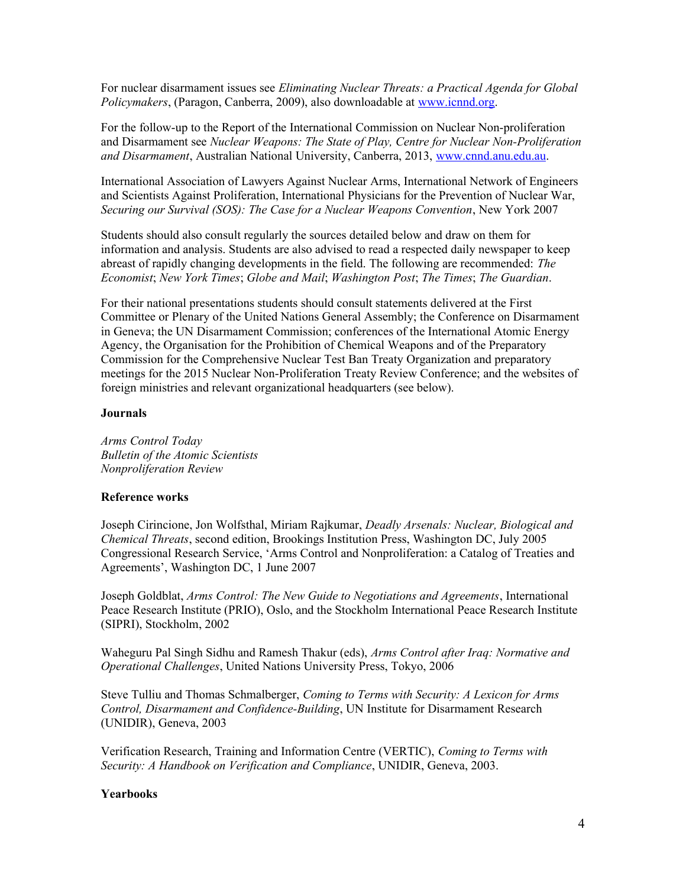For nuclear disarmament issues see *Eliminating Nuclear Threats: a Practical Agenda for Global Policymakers*, (Paragon, Canberra, 2009), also downloadable at [www.icnnd.org.](http://www.icnnd.org/)

For the follow-up to the Report of the International Commission on Nuclear Non-proliferation and Disarmament see *Nuclear Weapons: The State of Play, Centre for Nuclear Non-Proliferation and Disarmament*, Australian National University, Canberra, 2013, [www.cnnd.anu.edu.au.](http://www.cnnd.anu.edu.au/)

International Association of Lawyers Against Nuclear Arms, International Network of Engineers and Scientists Against Proliferation, International Physicians for the Prevention of Nuclear War, *Securing our Survival (SOS): The Case for a Nuclear Weapons Convention*, New York 2007

Students should also consult regularly the sources detailed below and draw on them for information and analysis. Students are also advised to read a respected daily newspaper to keep abreast of rapidly changing developments in the field. The following are recommended: *The Economist*; *New York Times*; *Globe and Mail*; *Washington Post*; *The Times*; *The Guardian*.

For their national presentations students should consult statements delivered at the First Committee or Plenary of the United Nations General Assembly; the Conference on Disarmament in Geneva; the UN Disarmament Commission; conferences of the International Atomic Energy Agency, the Organisation for the Prohibition of Chemical Weapons and of the Preparatory Commission for the Comprehensive Nuclear Test Ban Treaty Organization and preparatory meetings for the 2015 Nuclear Non-Proliferation Treaty Review Conference; and the websites of foreign ministries and relevant organizational headquarters (see below).

### **Journals**

*Arms Control Today Bulletin of the Atomic Scientists Nonproliferation Review*

#### **Reference works**

Joseph Cirincione, Jon Wolfsthal, Miriam Rajkumar, *Deadly Arsenals: Nuclear, Biological and Chemical Threats*, second edition, Brookings Institution Press, Washington DC, July 2005 Congressional Research Service, 'Arms Control and Nonproliferation: a Catalog of Treaties and Agreements', Washington DC, 1 June 2007

Joseph Goldblat, *Arms Control: The New Guide to Negotiations and Agreements*, International Peace Research Institute (PRIO), Oslo, and the Stockholm International Peace Research Institute (SIPRI), Stockholm, 2002

Waheguru Pal Singh Sidhu and Ramesh Thakur (eds), *Arms Control after Iraq: Normative and Operational Challenges*, United Nations University Press, Tokyo, 2006

Steve Tulliu and Thomas Schmalberger, *Coming to Terms with Security: A Lexicon for Arms Control, Disarmament and Confidence-Building*, UN Institute for Disarmament Research (UNIDIR), Geneva, 2003

Verification Research, Training and Information Centre (VERTIC), *Coming to Terms with Security: A Handbook on Verification and Compliance*, UNIDIR, Geneva, 2003.

## **Yearbooks**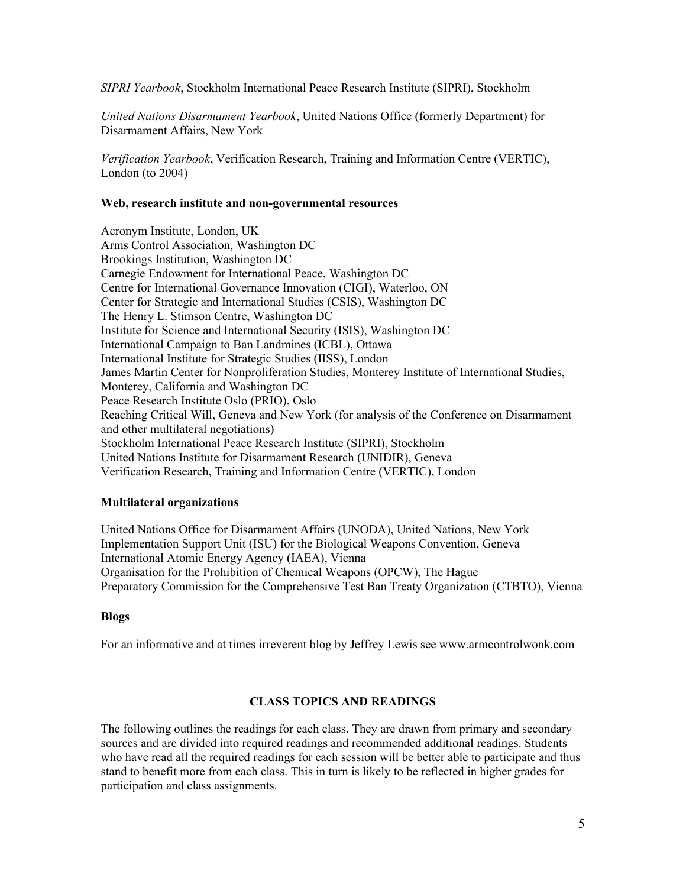*SIPRI Yearbook*, Stockholm International Peace Research Institute (SIPRI), Stockholm

*United Nations Disarmament Yearbook*, United Nations Office (formerly Department) for Disarmament Affairs, New York

*Verification Yearbook*, Verification Research, Training and Information Centre (VERTIC), London (to 2004)

### **Web, research institute and non-governmental resources**

Acronym Institute, London, UK Arms Control Association, Washington DC Brookings Institution, Washington DC Carnegie Endowment for International Peace, Washington DC Centre for International Governance Innovation (CIGI), Waterloo, ON Center for Strategic and International Studies (CSIS), Washington DC The Henry L. Stimson Centre, Washington DC Institute for Science and International Security (ISIS), Washington DC International Campaign to Ban Landmines (ICBL), Ottawa International Institute for Strategic Studies (IISS), London James Martin Center for Nonproliferation Studies, Monterey Institute of International Studies, Monterey, California and Washington DC Peace Research Institute Oslo (PRIO), Oslo Reaching Critical Will, Geneva and New York (for analysis of the Conference on Disarmament and other multilateral negotiations) Stockholm International Peace Research Institute (SIPRI), Stockholm United Nations Institute for Disarmament Research (UNIDIR), Geneva Verification Research, Training and Information Centre (VERTIC), London

# **Multilateral organizations**

United Nations Office for Disarmament Affairs (UNODA), United Nations, New York Implementation Support Unit (ISU) for the Biological Weapons Convention, Geneva International Atomic Energy Agency (IAEA), Vienna Organisation for the Prohibition of Chemical Weapons (OPCW), The Hague Preparatory Commission for the Comprehensive Test Ban Treaty Organization (CTBTO), Vienna

# **Blogs**

For an informative and at times irreverent blog by Jeffrey Lewis see www.armcontrolwonk.com

# **CLASS TOPICS AND READINGS**

The following outlines the readings for each class. They are drawn from primary and secondary sources and are divided into required readings and recommended additional readings. Students who have read all the required readings for each session will be better able to participate and thus stand to benefit more from each class. This in turn is likely to be reflected in higher grades for participation and class assignments.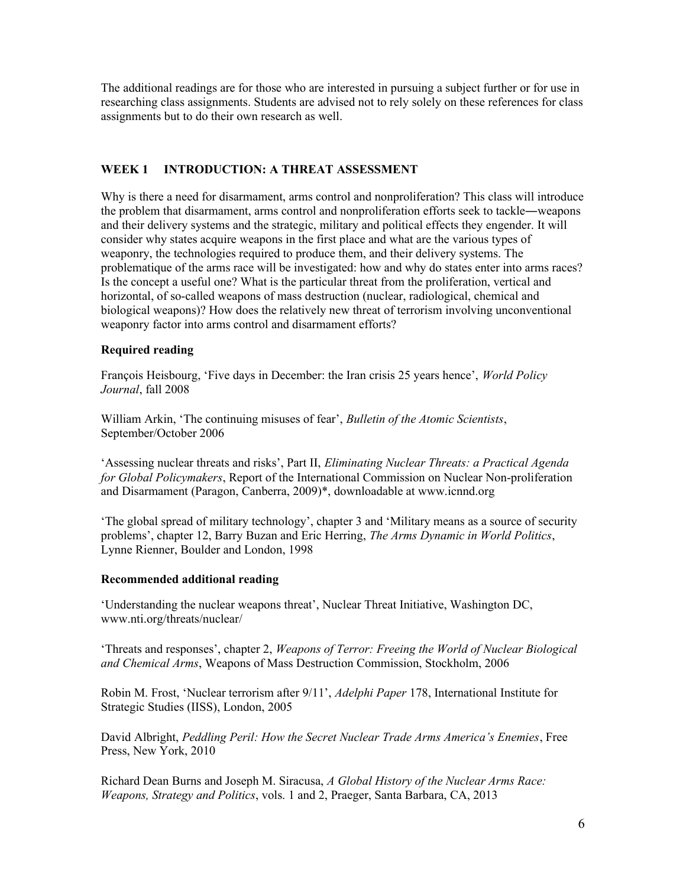The additional readings are for those who are interested in pursuing a subject further or for use in researching class assignments. Students are advised not to rely solely on these references for class assignments but to do their own research as well.

# **WEEK 1 INTRODUCTION: A THREAT ASSESSMENT**

Why is there a need for disarmament, arms control and nonproliferation? This class will introduce the problem that disarmament, arms control and nonproliferation efforts seek to tackle―weapons and their delivery systems and the strategic, military and political effects they engender. It will consider why states acquire weapons in the first place and what are the various types of weaponry, the technologies required to produce them, and their delivery systems. The problematique of the arms race will be investigated: how and why do states enter into arms races? Is the concept a useful one? What is the particular threat from the proliferation, vertical and horizontal, of so-called weapons of mass destruction (nuclear, radiological, chemical and biological weapons)? How does the relatively new threat of terrorism involving unconventional weaponry factor into arms control and disarmament efforts?

# **Required reading**

François Heisbourg, 'Five days in December: the Iran crisis 25 years hence', *World Policy Journal*, fall 2008

William Arkin, 'The continuing misuses of fear', *Bulletin of the Atomic Scientists*, September/October 2006

'Assessing nuclear threats and risks', Part II, *Eliminating Nuclear Threats: a Practical Agenda for Global Policymakers*, Report of the International Commission on Nuclear Non-proliferation and Disarmament (Paragon, Canberra, 2009)\*, downloadable at www.icnnd.org

'The global spread of military technology', chapter 3 and 'Military means as a source of security problems', chapter 12, Barry Buzan and Eric Herring, *The Arms Dynamic in World Politics*, Lynne Rienner, Boulder and London, 1998

### **Recommended additional reading**

'Understanding the nuclear weapons threat', Nuclear Threat Initiative, Washington DC, www.nti.org/threats/nuclear/

'Threats and responses', chapter 2, *Weapons of Terror: Freeing the World of Nuclear Biological and Chemical Arms*, Weapons of Mass Destruction Commission, Stockholm, 2006

Robin M. Frost, 'Nuclear terrorism after 9/11', *Adelphi Paper* 178, International Institute for Strategic Studies (IISS), London, 2005

David Albright, *Peddling Peril: How the Secret Nuclear Trade Arms America's Enemies*, Free Press, New York, 2010

Richard Dean Burns and Joseph M. Siracusa, *A Global History of the Nuclear Arms Race: Weapons, Strategy and Politics*, vols. 1 and 2, Praeger, Santa Barbara, CA, 2013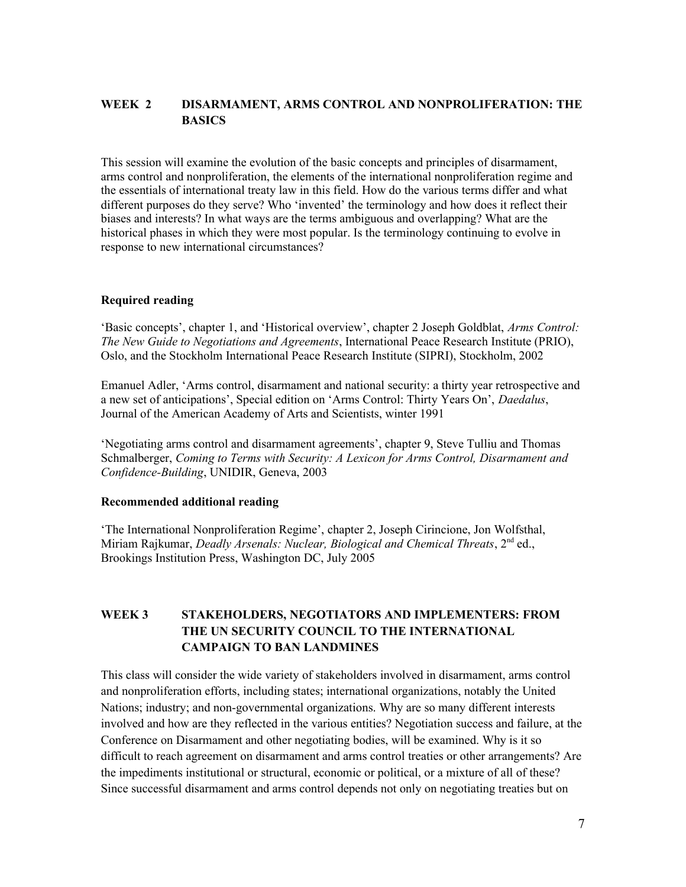# **WEEK 2 DISARMAMENT, ARMS CONTROL AND NONPROLIFERATION: THE BASICS**

This session will examine the evolution of the basic concepts and principles of disarmament, arms control and nonproliferation, the elements of the international nonproliferation regime and the essentials of international treaty law in this field. How do the various terms differ and what different purposes do they serve? Who 'invented' the terminology and how does it reflect their biases and interests? In what ways are the terms ambiguous and overlapping? What are the historical phases in which they were most popular. Is the terminology continuing to evolve in response to new international circumstances?

# **Required reading**

'Basic concepts', chapter 1, and 'Historical overview', chapter 2 Joseph Goldblat, *Arms Control: The New Guide to Negotiations and Agreements*, International Peace Research Institute (PRIO), Oslo, and the Stockholm International Peace Research Institute (SIPRI), Stockholm, 2002

Emanuel Adler, 'Arms control, disarmament and national security: a thirty year retrospective and a new set of anticipations', Special edition on 'Arms Control: Thirty Years On', *Daedalus*, Journal of the American Academy of Arts and Scientists, winter 1991

'Negotiating arms control and disarmament agreements', chapter 9, Steve Tulliu and Thomas Schmalberger, *Coming to Terms with Security: A Lexicon for Arms Control, Disarmament and Confidence-Building*, UNIDIR, Geneva, 2003

# **Recommended additional reading**

'The International Nonproliferation Regime', chapter 2, Joseph Cirincione, Jon Wolfsthal, Miriam Rajkumar, *Deadly Arsenals: Nuclear, Biological and Chemical Threats*, 2nd ed., Brookings Institution Press, Washington DC, July 2005

# **WEEK 3 STAKEHOLDERS, NEGOTIATORS AND IMPLEMENTERS: FROM THE UN SECURITY COUNCIL TO THE INTERNATIONAL CAMPAIGN TO BAN LANDMINES**

This class will consider the wide variety of stakeholders involved in disarmament, arms control and nonproliferation efforts, including states; international organizations, notably the United Nations; industry; and non-governmental organizations. Why are so many different interests involved and how are they reflected in the various entities? Negotiation success and failure, at the Conference on Disarmament and other negotiating bodies, will be examined. Why is it so difficult to reach agreement on disarmament and arms control treaties or other arrangements? Are the impediments institutional or structural, economic or political, or a mixture of all of these? Since successful disarmament and arms control depends not only on negotiating treaties but on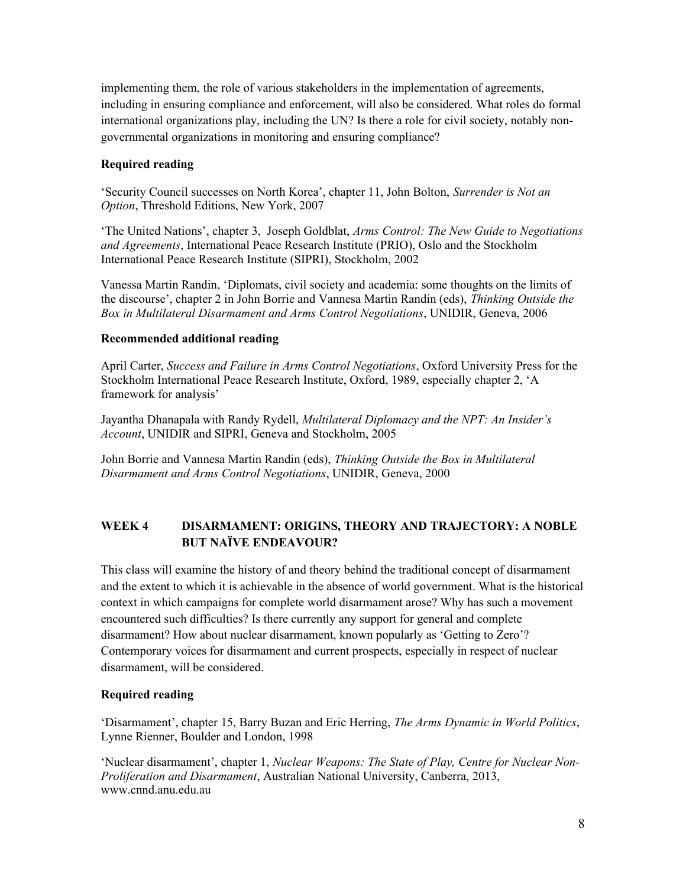implementing them, the role of various stakeholders in the implementation of agreements, including in ensuring compliance and enforcement, will also be considered. What roles do formal international organizations play, including the UN? Is there a role for civil society, notably nongovernmental organizations in monitoring and ensuring compliance?

# **Required reading**

'Security Council successes on North Korea', chapter 11, John Bolton, *Surrender is Not an Option*, Threshold Editions, New York, 2007

'The United Nations', chapter 3, Joseph Goldblat, *Arms Control: The New Guide to Negotiations and Agreements*, International Peace Research Institute (PRIO), Oslo and the Stockholm International Peace Research Institute (SIPRI), Stockholm, 2002

Vanessa Martin Randin, 'Diplomats, civil society and academia: some thoughts on the limits of the discourse', chapter 2 in John Borrie and Vannesa Martin Randin (eds), *Thinking Outside the Box in Multilateral Disarmament and Arms Control Negotiations*, UNIDIR, Geneva, 2006

# **Recommended additional reading**

April Carter, *Success and Failure in Arms Control Negotiations*, Oxford University Press for the Stockholm International Peace Research Institute, Oxford, 1989, especially chapter 2, 'A framework for analysis'

Jayantha Dhanapala with Randy Rydell, *Multilateral Diplomacy and the NPT: An Insider's Account*, UNIDIR and SIPRI, Geneva and Stockholm, 2005

John Borrie and Vannesa Martin Randin (eds), *Thinking Outside the Box in Multilateral Disarmament and Arms Control Negotiations*, UNIDIR, Geneva, 2000

# **WEEK 4 DISARMAMENT: ORIGINS, THEORY AND TRAJECTORY: A NOBLE BUT NAÏVE ENDEAVOUR?**

This class will examine the history of and theory behind the traditional concept of disarmament and the extent to which it is achievable in the absence of world government. What is the historical context in which campaigns for complete world disarmament arose? Why has such a movement encountered such difficulties? Is there currently any support for general and complete disarmament? How about nuclear disarmament, known popularly as 'Getting to Zero'? Contemporary voices for disarmament and current prospects, especially in respect of nuclear disarmament, will be considered.

# **Required reading**

'Disarmament', chapter 15, Barry Buzan and Eric Herring, *The Arms Dynamic in World Politics*, Lynne Rienner, Boulder and London, 1998

'Nuclear disarmament', chapter 1, *Nuclear Weapons: The State of Play, Centre for Nuclear Non-Proliferation and Disarmament*, Australian National University, Canberra, 2013, www.cnnd.anu.edu.au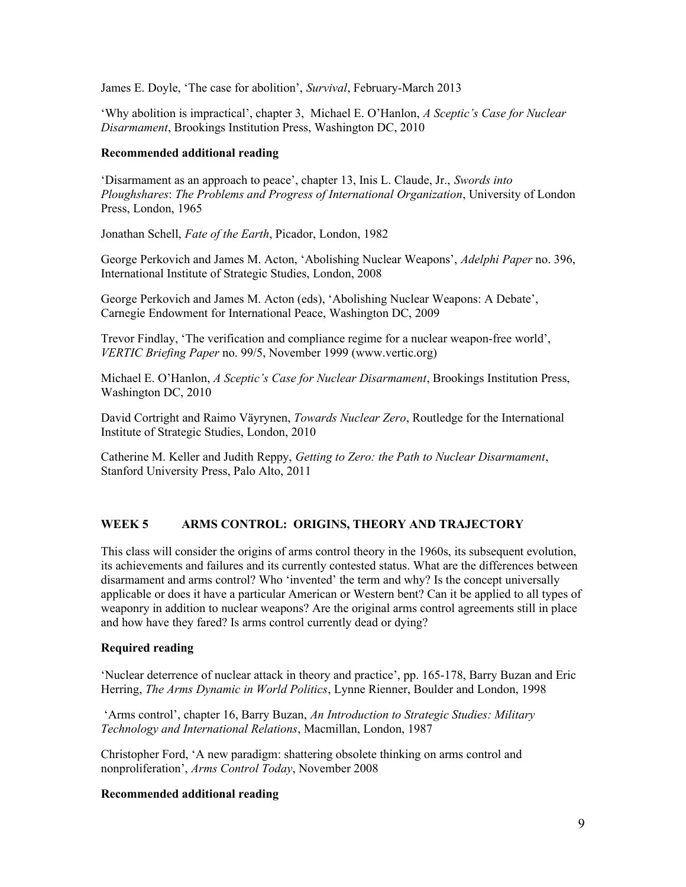James E. Doyle, 'The case for abolition', *Survival*, February-March 2013

'Why abolition is impractical', chapter 3, Michael E. O'Hanlon, *A Sceptic's Case for Nuclear Disarmament*, Brookings Institution Press, Washington DC, 2010

## **Recommended additional reading**

'Disarmament as an approach to peace', chapter 13, Inis L. Claude, Jr., *Swords into Ploughshares*: *The Problems and Progress of International Organization*, University of London Press, London, 1965

Jonathan Schell, *Fate of the Earth*, Picador, London, 1982

George Perkovich and James M. Acton, 'Abolishing Nuclear Weapons', *Adelphi Paper* no. 396, International Institute of Strategic Studies, London, 2008

George Perkovich and James M. Acton (eds), 'Abolishing Nuclear Weapons: A Debate', Carnegie Endowment for International Peace, Washington DC, 2009

Trevor Findlay, 'The verification and compliance regime for a nuclear weapon-free world', *VERTIC Briefing Paper* no. 99/5, November 1999 (www.vertic.org)

Michael E. O'Hanlon, *A Sceptic's Case for Nuclear Disarmament*, Brookings Institution Press, Washington DC, 2010

David Cortright and Raimo Väyrynen, *Towards Nuclear Zero*, Routledge for the International Institute of Strategic Studies, London, 2010

Catherine M. Keller and Judith Reppy, *Getting to Zero: the Path to Nuclear Disarmament*, Stanford University Press, Palo Alto, 2011

# **WEEK 5 ARMS CONTROL: ORIGINS, THEORY AND TRAJECTORY**

This class will consider the origins of arms control theory in the 1960s, its subsequent evolution, its achievements and failures and its currently contested status. What are the differences between disarmament and arms control? Who 'invented' the term and why? Is the concept universally applicable or does it have a particular American or Western bent? Can it be applied to all types of weaponry in addition to nuclear weapons? Are the original arms control agreements still in place and how have they fared? Is arms control currently dead or dying?

# **Required reading**

'Nuclear deterrence of nuclear attack in theory and practice', pp. 165-178, Barry Buzan and Eric Herring, *The Arms Dynamic in World Politics*, Lynne Rienner, Boulder and London, 1998

'Arms control', chapter 16, Barry Buzan, *An Introduction to Strategic Studies: Military Technology and International Relations*, Macmillan, London, 1987

Christopher Ford, 'A new paradigm: shattering obsolete thinking on arms control and nonproliferation', *Arms Control Today*, November 2008

# **Recommended additional reading**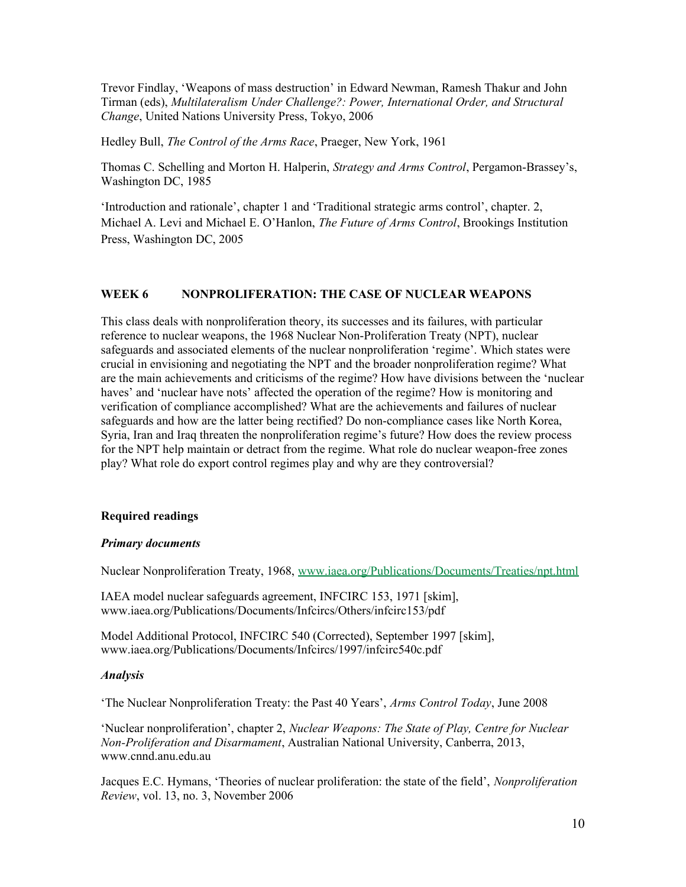Trevor Findlay, 'Weapons of mass destruction' in Edward Newman, Ramesh Thakur and John Tirman (eds), *Multilateralism Under Challenge?: Power, International Order, and Structural Change*, United Nations University Press, Tokyo, 2006

Hedley Bull, *The Control of the Arms Race*, Praeger, New York, 1961

Thomas C. Schelling and Morton H. Halperin, *Strategy and Arms Control*, Pergamon-Brassey's, Washington DC, 1985

'Introduction and rationale', chapter 1 and 'Traditional strategic arms control', chapter. 2, Michael A. Levi and Michael E. O'Hanlon, *The Future of Arms Control*, Brookings Institution Press, Washington DC, 2005

## **WEEK 6 NONPROLIFERATION: THE CASE OF NUCLEAR WEAPONS**

This class deals with nonproliferation theory, its successes and its failures, with particular reference to nuclear weapons, the 1968 Nuclear Non-Proliferation Treaty (NPT), nuclear safeguards and associated elements of the nuclear nonproliferation 'regime'. Which states were crucial in envisioning and negotiating the NPT and the broader nonproliferation regime? What are the main achievements and criticisms of the regime? How have divisions between the 'nuclear haves' and 'nuclear have nots' affected the operation of the regime? How is monitoring and verification of compliance accomplished? What are the achievements and failures of nuclear safeguards and how are the latter being rectified? Do non-compliance cases like North Korea, Syria, Iran and Iraq threaten the nonproliferation regime's future? How does the review process for the NPT help maintain or detract from the regime. What role do nuclear weapon-free zones play? What role do export control regimes play and why are they controversial?

### **Required readings**

### *Primary documents*

Nuclear Nonproliferation Treaty, 1968, [www.iaea.org/Publications/Documents/Treaties/npt.html](../../Carleton/www.iaea.org/Publications/Documents/Treaties/npt.html)

IAEA model nuclear safeguards agreement, INFCIRC 153, 1971 [skim], www.iaea.org/Publications/Documents/Infcircs/Others/infcirc153/pdf

Model Additional Protocol, INFCIRC 540 (Corrected), September 1997 [skim], www.iaea.org/Publications/Documents/Infcircs/1997/infcirc540c.pdf

### *Analysis*

'The Nuclear Nonproliferation Treaty: the Past 40 Years', *Arms Control Today*, June 2008

'Nuclear nonproliferation', chapter 2, *Nuclear Weapons: The State of Play, Centre for Nuclear Non-Proliferation and Disarmament*, Australian National University, Canberra, 2013, www.cnnd.anu.edu.au

Jacques E.C. Hymans, 'Theories of nuclear proliferation: the state of the field', *Nonproliferation Review*, vol. 13, no. 3, November 2006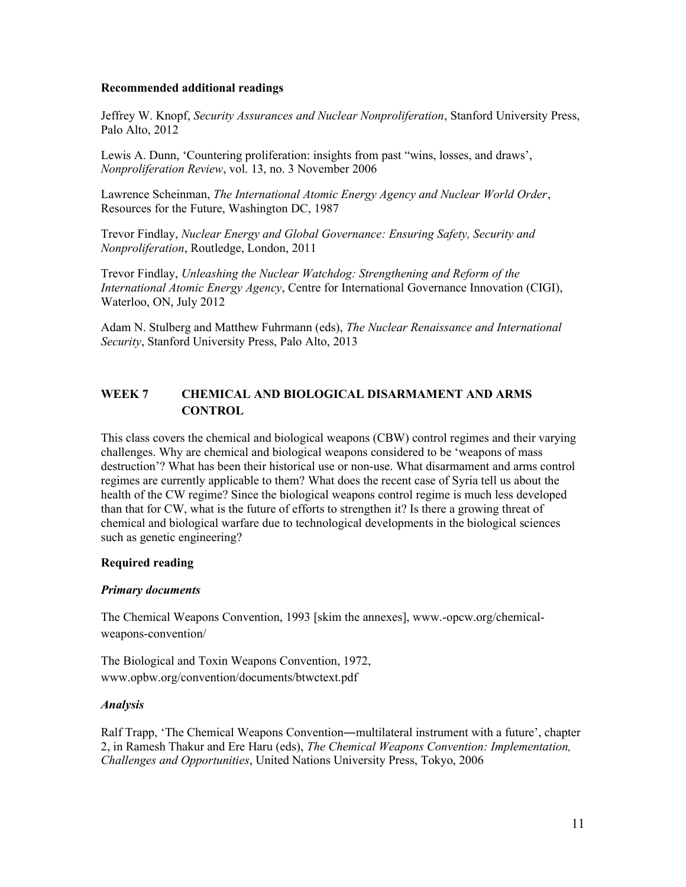## **Recommended additional readings**

Jeffrey W. Knopf, *Security Assurances and Nuclear Nonproliferation*, Stanford University Press, Palo Alto, 2012

Lewis A. Dunn, 'Countering proliferation: insights from past "wins, losses, and draws', *Nonproliferation Review*, vol. 13, no. 3 November 2006

Lawrence Scheinman, *The International Atomic Energy Agency and Nuclear World Order*, Resources for the Future, Washington DC, 1987

Trevor Findlay, *Nuclear Energy and Global Governance: Ensuring Safety, Security and Nonproliferation*, Routledge, London, 2011

Trevor Findlay, *Unleashing the Nuclear Watchdog: Strengthening and Reform of the International Atomic Energy Agency*, Centre for International Governance Innovation (CIGI), Waterloo, ON, July 2012

Adam N. Stulberg and Matthew Fuhrmann (eds), *The Nuclear Renaissance and International Security*, Stanford University Press, Palo Alto, 2013

# **WEEK 7 CHEMICAL AND BIOLOGICAL DISARMAMENT AND ARMS CONTROL**

This class covers the chemical and biological weapons (CBW) control regimes and their varying challenges. Why are chemical and biological weapons considered to be 'weapons of mass destruction'? What has been their historical use or non-use. What disarmament and arms control regimes are currently applicable to them? What does the recent case of Syria tell us about the health of the CW regime? Since the biological weapons control regime is much less developed than that for CW, what is the future of efforts to strengthen it? Is there a growing threat of chemical and biological warfare due to technological developments in the biological sciences such as genetic engineering?

# **Required reading**

### *Primary documents*

The Chemical Weapons Convention, 1993 [skim the annexes], www.-opcw.org/chemicalweapons-convention/

The Biological and Toxin Weapons Convention, 1972, www.opbw.org/convention/documents/btwctext.pdf

# *Analysis*

Ralf Trapp, 'The Chemical Weapons Convention―multilateral instrument with a future', chapter 2, in Ramesh Thakur and Ere Haru (eds), *The Chemical Weapons Convention: Implementation, Challenges and Opportunities*, United Nations University Press, Tokyo, 2006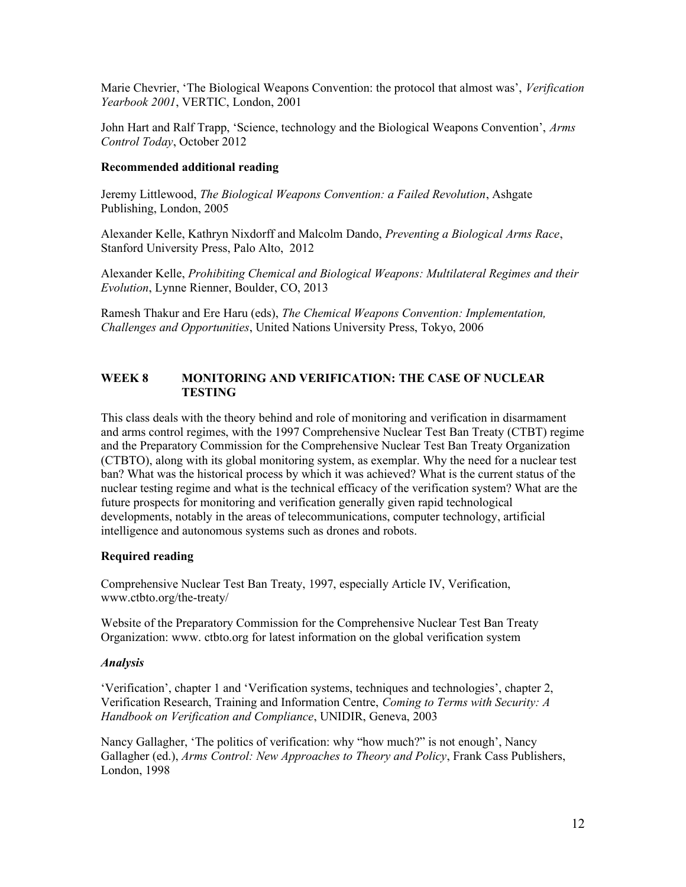Marie Chevrier, 'The Biological Weapons Convention: the protocol that almost was', *Verification Yearbook 2001*, VERTIC, London, 2001

John Hart and Ralf Trapp, 'Science, technology and the Biological Weapons Convention', *Arms Control Today*, October 2012

#### **Recommended additional reading**

Jeremy Littlewood, *The Biological Weapons Convention: a Failed Revolution*, Ashgate Publishing, London, 2005

Alexander Kelle, Kathryn Nixdorff and Malcolm Dando, *Preventing a Biological Arms Race*, Stanford University Press, Palo Alto, 2012

Alexander Kelle, *Prohibiting Chemical and Biological Weapons: Multilateral Regimes and their Evolution*, Lynne Rienner, Boulder, CO, 2013

Ramesh Thakur and Ere Haru (eds), *The Chemical Weapons Convention: Implementation, Challenges and Opportunities*, United Nations University Press, Tokyo, 2006

## **WEEK 8 MONITORING AND VERIFICATION: THE CASE OF NUCLEAR TESTING**

This class deals with the theory behind and role of monitoring and verification in disarmament and arms control regimes, with the 1997 Comprehensive Nuclear Test Ban Treaty (CTBT) regime and the Preparatory Commission for the Comprehensive Nuclear Test Ban Treaty Organization (CTBTO), along with its global monitoring system, as exemplar. Why the need for a nuclear test ban? What was the historical process by which it was achieved? What is the current status of the nuclear testing regime and what is the technical efficacy of the verification system? What are the future prospects for monitoring and verification generally given rapid technological developments, notably in the areas of telecommunications, computer technology, artificial intelligence and autonomous systems such as drones and robots.

### **Required reading**

Comprehensive Nuclear Test Ban Treaty, 1997, especially Article IV, Verification, www.ctbto.org/the-treaty/

Website of the Preparatory Commission for the Comprehensive Nuclear Test Ban Treaty Organization: www. ctbto.org for latest information on the global verification system

#### *Analysis*

'Verification', chapter 1 and 'Verification systems, techniques and technologies', chapter 2, Verification Research, Training and Information Centre, *Coming to Terms with Security: A Handbook on Verification and Compliance*, UNIDIR, Geneva, 2003

Nancy Gallagher, 'The politics of verification: why "how much?" is not enough', Nancy Gallagher (ed.), *Arms Control: New Approaches to Theory and Policy*, Frank Cass Publishers, London, 1998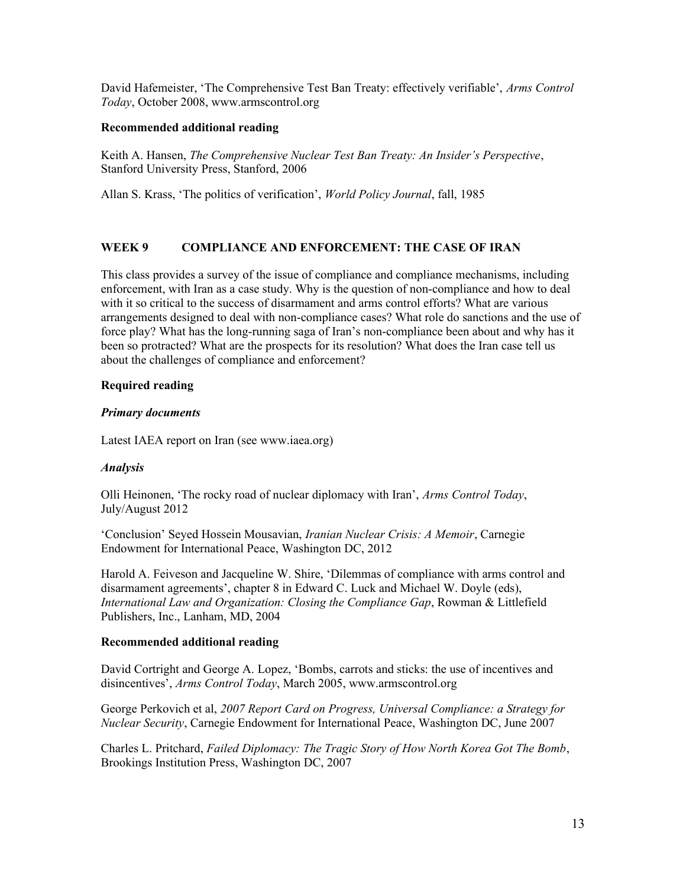David Hafemeister, 'The Comprehensive Test Ban Treaty: effectively verifiable', *Arms Control Today*, October 2008, www.armscontrol.org

# **Recommended additional reading**

Keith A. Hansen, *The Comprehensive Nuclear Test Ban Treaty: An Insider's Perspective*, Stanford University Press, Stanford, 2006

Allan S. Krass, 'The politics of verification', *World Policy Journal*, fall, 1985

# **WEEK 9 COMPLIANCE AND ENFORCEMENT: THE CASE OF IRAN**

This class provides a survey of the issue of compliance and compliance mechanisms, including enforcement, with Iran as a case study. Why is the question of non-compliance and how to deal with it so critical to the success of disarmament and arms control efforts? What are various arrangements designed to deal with non-compliance cases? What role do sanctions and the use of force play? What has the long-running saga of Iran's non-compliance been about and why has it been so protracted? What are the prospects for its resolution? What does the Iran case tell us about the challenges of compliance and enforcement?

# **Required reading**

# *Primary documents*

Latest IAEA report on Iran (see www.iaea.org)

# *Analysis*

Olli Heinonen, 'The rocky road of nuclear diplomacy with Iran', *Arms Control Today*, July/August 2012

'Conclusion' Seyed Hossein Mousavian, *Iranian Nuclear Crisis: A Memoir*, Carnegie Endowment for International Peace, Washington DC, 2012

Harold A. Feiveson and Jacqueline W. Shire, 'Dilemmas of compliance with arms control and disarmament agreements', chapter 8 in Edward C. Luck and Michael W. Doyle (eds), *International Law and Organization: Closing the Compliance Gap*, Rowman & Littlefield Publishers, Inc., Lanham, MD, 2004

# **Recommended additional reading**

David Cortright and George A. Lopez, 'Bombs, carrots and sticks: the use of incentives and disincentives', *Arms Control Today*, March 2005, www.armscontrol.org

George Perkovich et al, *2007 Report Card on Progress, Universal Compliance: a Strategy for Nuclear Security*, Carnegie Endowment for International Peace, Washington DC, June 2007

Charles L. Pritchard, *Failed Diplomacy: The Tragic Story of How North Korea Got The Bomb*, Brookings Institution Press, Washington DC, 2007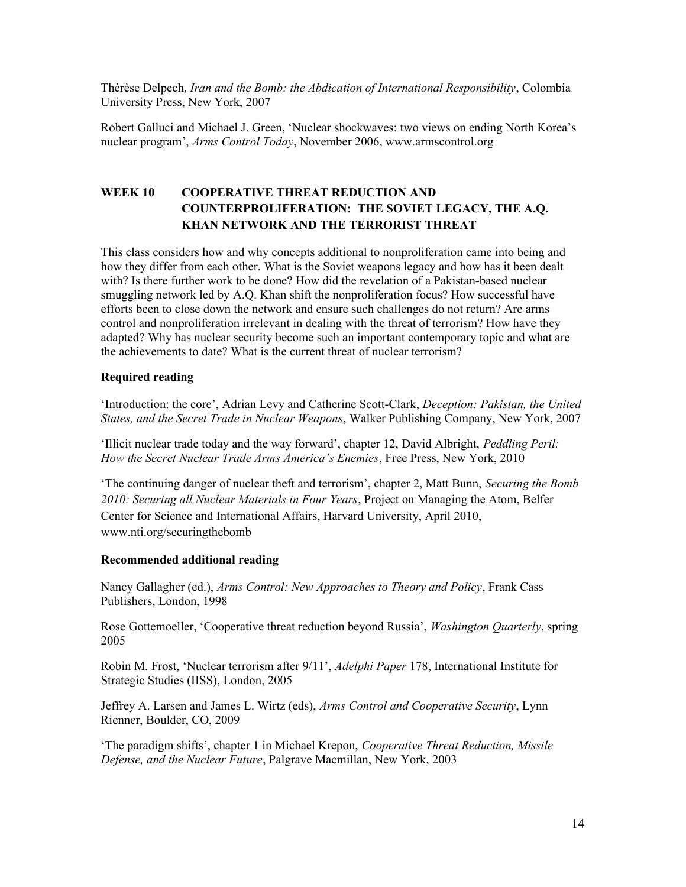Thérèse Delpech, *Iran and the Bomb: the Abdication of International Responsibility*, Colombia University Press, New York, 2007

Robert Galluci and Michael J. Green, 'Nuclear shockwaves: two views on ending North Korea's nuclear program', *Arms Control Today*, November 2006, www.armscontrol.org

# **WEEK 10 COOPERATIVE THREAT REDUCTION AND COUNTERPROLIFERATION: THE SOVIET LEGACY, THE A.Q. KHAN NETWORK AND THE TERRORIST THREAT**

This class considers how and why concepts additional to nonproliferation came into being and how they differ from each other. What is the Soviet weapons legacy and how has it been dealt with? Is there further work to be done? How did the revelation of a Pakistan-based nuclear smuggling network led by A.Q. Khan shift the nonproliferation focus? How successful have efforts been to close down the network and ensure such challenges do not return? Are arms control and nonproliferation irrelevant in dealing with the threat of terrorism? How have they adapted? Why has nuclear security become such an important contemporary topic and what are the achievements to date? What is the current threat of nuclear terrorism?

### **Required reading**

'Introduction: the core', Adrian Levy and Catherine Scott-Clark, *Deception: Pakistan, the United States, and the Secret Trade in Nuclear Weapons*, Walker Publishing Company, New York, 2007

'Illicit nuclear trade today and the way forward', chapter 12, David Albright, *Peddling Peril: How the Secret Nuclear Trade Arms America's Enemies*, Free Press, New York, 2010

'The continuing danger of nuclear theft and terrorism', chapter 2, Matt Bunn, *Securing the Bomb 2010: Securing all Nuclear Materials in Four Years*, Project on Managing the Atom, Belfer Center for Science and International Affairs, Harvard University, April 2010, www.nti.org/securingthebomb

### **Recommended additional reading**

Nancy Gallagher (ed.), *Arms Control: New Approaches to Theory and Policy*, Frank Cass Publishers, London, 1998

Rose Gottemoeller, 'Cooperative threat reduction beyond Russia', *Washington Quarterly*, spring 2005

Robin M. Frost, 'Nuclear terrorism after 9/11', *Adelphi Paper* 178, International Institute for Strategic Studies (IISS), London, 2005

Jeffrey A. Larsen and James L. Wirtz (eds), *Arms Control and Cooperative Security*, Lynn Rienner, Boulder, CO, 2009

'The paradigm shifts', chapter 1 in Michael Krepon, *Cooperative Threat Reduction, Missile Defense, and the Nuclear Future*, Palgrave Macmillan, New York, 2003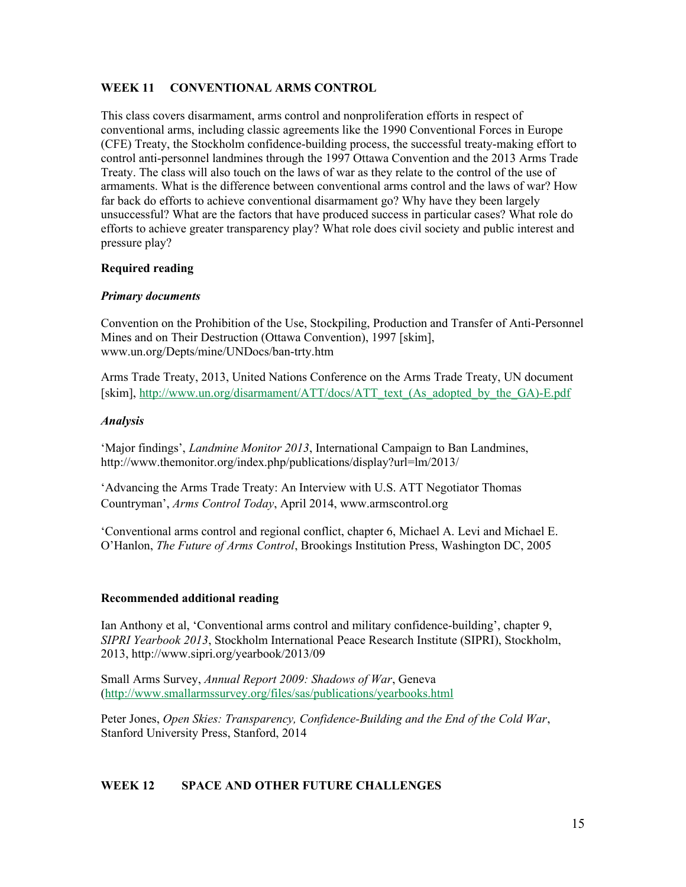# **WEEK 11 CONVENTIONAL ARMS CONTROL**

This class covers disarmament, arms control and nonproliferation efforts in respect of conventional arms, including classic agreements like the 1990 Conventional Forces in Europe (CFE) Treaty, the Stockholm confidence-building process, the successful treaty-making effort to control anti-personnel landmines through the 1997 Ottawa Convention and the 2013 Arms Trade Treaty. The class will also touch on the laws of war as they relate to the control of the use of armaments. What is the difference between conventional arms control and the laws of war? How far back do efforts to achieve conventional disarmament go? Why have they been largely unsuccessful? What are the factors that have produced success in particular cases? What role do efforts to achieve greater transparency play? What role does civil society and public interest and pressure play?

# **Required reading**

# *Primary documents*

Convention on the Prohibition of the Use, Stockpiling, Production and Transfer of Anti-Personnel Mines and on Their Destruction (Ottawa Convention), 1997 [skim], www.un.org/Depts/mine/UNDocs/ban-trty.htm

Arms Trade Treaty, 2013, United Nations Conference on the Arms Trade Treaty, UN document [skim], [http://www.un.org/disarmament/ATT/docs/ATT\\_text\\_\(As\\_adopted\\_by\\_the\\_GA\)-E.pdf](http://www.un.org/disarmament/ATT/docs/ATT_text_(As_adopted_by_the_GA)-E.pdf)

# *Analysis*

'Major findings', *Landmine Monitor 2013*, International Campaign to Ban Landmines, http://www.themonitor.org/index.php/publications/display?url=lm/2013/

'Advancing the Arms Trade Treaty: An Interview with U.S. ATT Negotiator Thomas Countryman', *Arms Control Today*, April 2014, www.armscontrol.org

'Conventional arms control and regional conflict, chapter 6, Michael A. Levi and Michael E. O'Hanlon, *The Future of Arms Control*, Brookings Institution Press, Washington DC, 2005

# **Recommended additional reading**

Ian Anthony et al, 'Conventional arms control and military confidence-building', chapter 9, *SIPRI Yearbook 2013*, Stockholm International Peace Research Institute (SIPRI), Stockholm, 2013, http://www.sipri.org/yearbook/2013/09

Small Arms Survey, *Annual Report 2009: Shadows of War*, Geneva (<http://www.smallarmssurvey.org/files/sas/publications/yearbooks.html>

Peter Jones, *Open Skies: Transparency, Confidence-Building and the End of the Cold War*, Stanford University Press, Stanford, 2014

# **WEEK 12 SPACE AND OTHER FUTURE CHALLENGES**